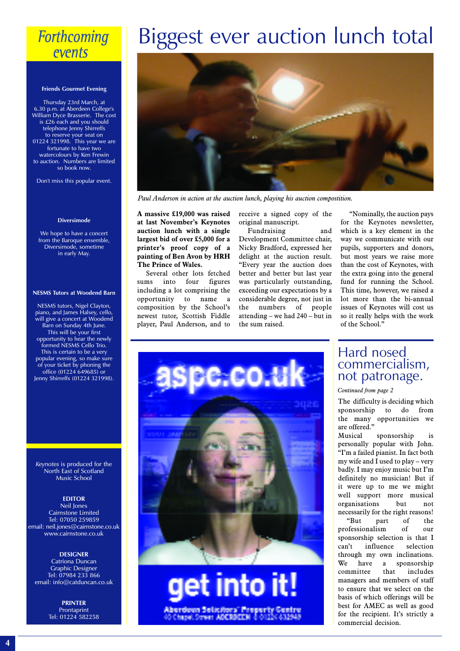## **Forthcoming** events

#### **Friends Gourmet Evening**

Thursday 23rd March, at 6.30 p.m. at Aberdeen College's William Dyce Brasserie. The cost is £26 each and you should telephone Jenny Shirreffs to reserve your seat on 01224 321998. This year we are fortunate to have two watercolours by Ken Frewin to auction. Numbers are limited so book now.

Don't miss this popular event.

#### **Diversimode**

We hope to have a concert from the Baroque ensemble, Diversimode, sometime in early May.

#### **NESMS Tutors at Woodend Barn**

NESMS tutors, Nigel Clayton, piano, and James Halsey, cello, will give a concert at Woodend Barn on Sunday 4th June. This will be your first opportunity to hear the newly formed NESMS Cello Trio. This is certain to be a very popular evening, so make sure of your ticket by phoning the office (01224 649685) or Jenny Shirreffs (01224 321998).

*Keynotes* is produced for the North East of Scotland Music School

#### **EDITOR**

Neil Jones Cairnstone Limited Tel: 07050 259859 email: neil.jones@cairnstone.co.uk www.cairnstone.co.uk

**DESIGNER** Catriona Duncan Graphic Designer Tel: 07984 233 866 email: info@catduncan.co.uk

> **PRINTER** Prontaprint Tel: 01224 582258

## Biggest ever auction lunch total



*Paul Anderson in action at the auction lunch, playing his auction compostition.*

**A massive £19,000 was raised at last November's Keynotes auction lunch with a single largest bid of over £5,000 for a printer's proof copy of a painting of Ben Avon by HRH The Prince of Wales.**

Several other lots fetched sums into four figures including a lot comprising the opportunity to name a composition by the School's newest tutor, Scottish Fiddle player, Paul Anderson, and to

receive a signed copy of the original manuscript.

Fundraising and Development Committee chair, Nicky Bradford, expressed her delight at the auction result. "Every year the auction does better and better but last year was particularly outstanding, exceeding our expectations by a considerable degree, not just in the numbers of people attending – we had 240 – but in the sum raised.

"Nominally, the auction pays for the Keynotes newsletter, which is a key element in the way we communicate with our pupils, supporters and donors, but most years we raise more than the cost of Keynotes, with the extra going into the general fund for running the School. This time, however, we raised a lot more than the bi-annual issues of Keynotes will cost us so it really helps with the work of the School."



Aberdeen Selicitors' Preserty

### Hard nosed commercialism, not patronage.

*Continued from page 2*

The difficulty is deciding which sponsorship to do from the many opportunities we are offered."

Musical sponsorship is personally popular with John. "I'm a failed pianist. In fact both my wife and I used to play – very badly. I may enjoy music but I'm definitely no musician! But if it were up to me we might well support more musical organisations but not necessarily for the right reasons!

"But part of the professionalism of our sponsorship selection is that I can't influence selection through my own inclinations. We have a sponsorship<br>committee that includes committee that includes managers and members of staff to ensure that we select on the basis of which offerings will be best for AMEC as well as good for the recipient. It's strictly a commercial decision.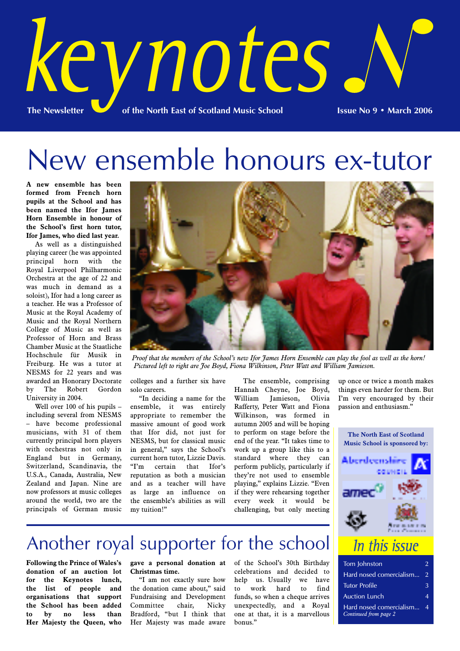

# New ensemble honours ex-tutor

**A new ensemble has been formed from French horn pupils at the School and has been named the Ifor James Horn Ensemble in honour of the School's first horn tutor, Ifor James, who died last year.**

As well as a distinguished playing career (he was appointed principal horn with the Royal Liverpool Philharmonic Orchestra at the age of 22 and was much in demand as a soloist), Ifor had a long career as a teacher. He was a Professor of Music at the Royal Academy of Music and the Royal Northern College of Music as well as Professor of Horn and Brass Chamber Music at the Staatliche Hochschule für Musik in Freiburg. He was a tutor at NESMS for 22 years and was awarded an Honorary Doctorate by The Robert Gordon University in 2004.

Well over 100 of his pupils – including several from NESMS – have become professional musicians, with 31 of them currently principal horn players with orchestras not only in England but in Germany, Switzerland, Scandinavia, the U.S.A., Canada, Australia, New Zealand and Japan. Nine are now professors at music colleges around the world, two are the principals of German music



*Proof that the members of the School's new Ifor James Horn Ensemble can play the fool as well as the horn! Pictured left to right are Joe Boyd, Fiona Wilkinson, Peter Watt and William Jamieson.*

colleges and a further six have solo careers.

"In deciding a name for the ensemble, it was entirely appropriate to remember the massive amount of good work that Ifor did, not just for NESMS, but for classical music in general," says the School's current horn tutor, Lizzie Davis. "I'm certain that Ifor's reputation as both a musician and as a teacher will have as large an influence on the ensemble's abilities as will my tuition!"

The ensemble, comprising Hannah Cheyne, Joe Boyd, William Jamieson, Olivia Rafferty, Peter Watt and Fiona Wilkinson, was formed in autumn 2005 and will be hoping to perform on stage before the end of the year. "It takes time to work up a group like this to a standard where they can perform publicly, particularly if they're not used to ensemble playing," explains Lizzie. "Even if they were rehearsing together every week it would be challenging, but only meeting

up once or twice a month makes things even harder for them. But I'm very encouraged by their passion and enthusiasm."



#### Tom Johnston 2 Hard nosed comercialism... 2 Tutor Profile 3 Auction Lunch 4 Hard nosed comercialism... 4 *Continued from page 2*

## Another royal supporter for the school

**Following the Prince of Wales's gave a personal donation at** of the School's 30th Birthday **donation of an auction lot for the Keynotes lunch, the list of people and organisations that support the School has been added to by no less than Her Majesty the Queen, who**

**Christmas time.**

"I am not exactly sure how the donation came about," said Fundraising and Development Committee chair, Nicky Bradford, "but I think that Her Majesty was made aware

celebrations and decided to help us. Usually we have to work hard to find funds, so when a cheque arrives unexpectedly, and a Royal one at that, it is a marvellous bonus."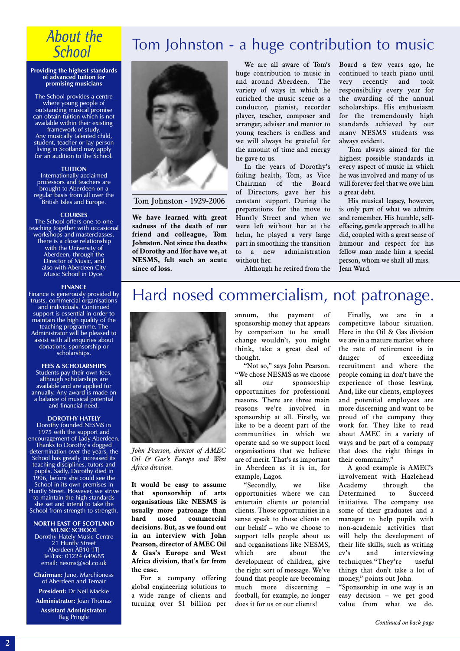## **About the School**

#### **Providing the highest standards of advanced tuition for promising musicians**

The School provides a centre where young people of outstanding musical promise can obtain tuition which is not available within their existing framework of study. Any musically talented child, student, teacher or lay person living in Scotland may apply for an audition to the School.

#### **TUITION**

Internationally acclaimed professors and teachers are brought to Aberdeen on a regular basis from all over the British Isles and Europe.

#### **COURSES**

The School offers one-to-one teaching together with occasional workshops and masterclasses. There is a close relationship with the University of Aberdeen, through the Director of Music, and also with Aberdeen City Music School in Dyce.

#### **FINANCE**

Finance is generously provided by trusts, commercial organisations and individuals. Continued support is essential in order to maintain the high quality of the teaching programme. The Administrator will be pleased to assist with all enquiries about donations, sponsorship or scholarships.

#### **FEES & SCHOLARSHIPS**

Students pay their own fees, although scholarships are available and are applied for annually. Any award is made on a balance of musical potential and financial need.

#### **DOROTHY HATELY**

Dorothy founded NESMS in 1975 with the support and encouragement of Lady Aberdeen. Thanks to Dorothy's dogged determination over the years, the School has greatly increased its teaching disciplines, tutors and pupils. Sadly, Dorothy died in 1996, before she could see the School in its own premises in Huntly Street. However, we strive to maintain the high standards she set and intend to take the School from strength to strength.

#### **NORTH EAST OF SCOTLAND MUSIC SCHOOL**

Dorothy Hately Music Centre 21 Huntly Street Aberdeen AB10 1TJ Tel/Fax: 01224 649685 email: nesms@sol.co.uk

**Chairman:** June, Marchioness of Aberdeen and Temair

**President:** Dr Neil Mackie **Administrator:** Joan Thomas

**Assistant Administrator:** Reg Pringle



Tom Johnston - 1929-2006

**We have learned with great sadness of the death of our friend and colleague, Tom Johnston. Not since the deaths of Dorothy and Ifor have we, at NESMS, felt such an acute since of loss.**

We are all aware of Tom's huge contribution to music in and around Aberdeen. The variety of ways in which he enriched the music scene as a conductor, pianist, recorder player, teacher, composer and arranger, adviser and mentor to young teachers is endless and we will always be grateful for the amount of time and energy he gave to us.

Tom Johnston - a huge contribution to music

In the years of Dorothy's failing health, Tom, as Vice Chairman of the Board of Directors, gave her his constant support. During the preparations for the move to Huntly Street and when we were left without her at the helm, he played a very large part in smoothing the transition to a new administration without her.

Although he retired from the

Board a few years ago, he continued to teach piano until very recently and took responsibility every year for the awarding of the annual scholarships. His enthusiasm for the tremendously high standards achieved by our many NESMS students was always evident.

Tom always aimed for the highest possible standards in every aspect of music in which he was involved and many of us will forever feel that we owe him a great debt.

His musical legacy, however, is only part of what we admire and remember. His humble, selfeffacing, gentle approach to all he did, coupled with a great sense of humour and respect for his fellow man made him a special person, whom we shall all miss. Jean Ward.

## Hard nosed commercialism, not patronage.



*John Pearson, director of AMEC Oil & Gas's Europe and West Africa division.*

**It would be easy to assume that sponsorship of arts organisations like NESMS is usually more patronage than hard nosed commercial decisions. But, as we found out in an interview with John Pearson, director of AMEC Oil & Gas's Europe and West Africa division, that's far from the case.**

For a company offering global engineering solutions to a wide range of clients and turning over \$1 billion per annum, the payment of sponsorship money that appears by comparison to be small change wouldn't, you might think, take a great deal of thought.

"Not so," says John Pearson. "We chose NESMS as we choose all our sponsorship opportunities for professional reasons. There are three main reasons we're involved in sponsorship at all. Firstly, we like to be a decent part of the communities in which we operate and so we support local organisations that we believe are of merit. That's as important in Aberdeen as it is in, for example, Lagos.

"Secondly, we like opportunities where we can entertain clients or potential clients. Those opportunities in a sense speak to those clients on our behalf – who we choose to support tells people about us and organisations like NESMS, which are about the development of children, give the right sort of message. We've found that people are becoming much more discerning – football, for example, no longer does it for us or our clients!

Finally, we are in a competitive labour situation. Here in the Oil & Gas division we are in a mature market where the rate of retirement is in danger of exceeding recruitment and where the people coming in don't have the experience of those leaving. And, like our clients, employees and potential employees are more discerning and want to be proud of the company they work for. They like to read about AMEC in a variety of ways and be part of a company that does the right things in their community."

A good example is AMEC's involvement with Hazlehead Academy through the Determined to Succeed initiative. The company use some of their graduates and a manager to help pupils with non-academic activities that will help the development of their life skills, such as writing cv's and interviewing techniques."They're useful things that don't take a lot of money," points out John.

"Sponsorship in one way is an easy decision – we get good value from what we do.